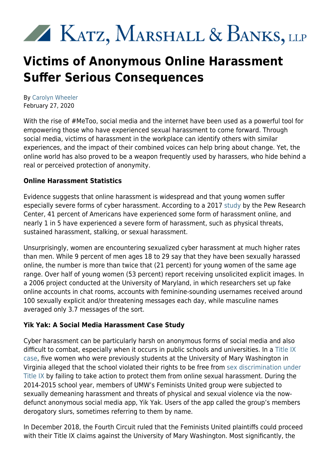# KATZ, MARSHALL & BANKS, LLP

# **Victims of Anonymous Online Harassment Suffer Serious Consequences**

By [Carolyn Wheeler](https://kmblegal.com/attorneys-and-staff/carolyn-wheeler) February 27, 2020

With the rise of #MeToo, social media and the internet have been used as a powerful tool for empowering those who have experienced sexual harassment to come forward. Through social media, victims of harassment in the workplace can identify others with similar experiences, and the impact of their combined voices can help bring about change. Yet, the online world has also proved to be a weapon frequently used by harassers, who hide behind a real or perceived protection of anonymity.

### **Online Harassment Statistics**

Evidence suggests that online harassment is widespread and that young women suffer especially severe forms of cyber harassment. According to a 2017 [study](http://www.pewinternet.org/2017/07/11/online-harassment-2017/) by the Pew Research Center, 41 percent of Americans have experienced some form of harassment online, and nearly 1 in 5 have experienced a severe form of harassment, such as physical threats, sustained harassment, stalking, or sexual harassment.

Unsurprisingly, women are encountering sexualized cyber harassment at much higher rates than men. While 9 percent of men ages 18 to 29 say that they have been sexually harassed online, the number is more than twice that (21 percent) for young women of the same age range. Over half of young women (53 percent) report receiving unsolicited explicit images. In a 2006 project conducted at the University of Maryland, in which researchers set up fake online accounts in chat rooms, accounts with feminine-sounding usernames received around 100 sexually explicit and/or threatening messages each day, while masculine names averaged only 3.7 messages of the sort.

## **Yik Yak: A Social Media Harassment Case Study**

Cyber harassment can be particularly harsh on anonymous forms of social media and also difficult to combat, especially when it occurs in public schools and universities. In a [Title IX](https://nwlc.org/press-releases/university-of-mary-washington-failed-to-act-against-severe-cyber-harassment-that-targeted-female-students-says-nwlc-amicus-brief-to-4th-circuit/) [case](https://nwlc.org/press-releases/university-of-mary-washington-failed-to-act-against-severe-cyber-harassment-that-targeted-female-students-says-nwlc-amicus-brief-to-4th-circuit/), five women who were previously students at the University of Mary Washington in Virginia alleged that the school violated their rights to be free from [sex discrimination under](https://www.kmblegal.com/practice-areas/title-ix-discrimination) [Title IX](https://www.kmblegal.com/practice-areas/title-ix-discrimination) by failing to take action to protect them from online sexual harassment. During the 2014-2015 school year, members of UMW's Feminists United group were subjected to sexually demeaning harassment and threats of physical and sexual violence via the nowdefunct anonymous social media app, Yik Yak. Users of the app called the group's members derogatory slurs, sometimes referring to them by name.

In December 2018, the Fourth Circuit ruled that the Feminists United plaintiffs could proceed with their Title IX claims against the University of Mary Washington. Most significantly, the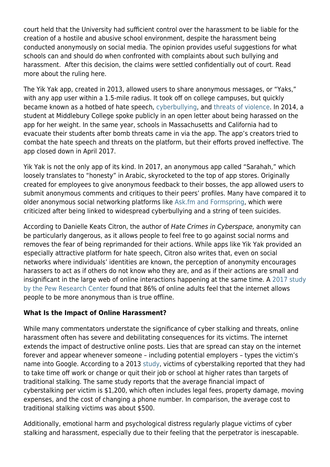court held that the University had sufficient control over the harassment to be liable for the creation of a hostile and abusive school environment, despite the harassment being conducted anonymously on social media. The opinion provides useful suggestions for what schools can and should do when confronted with complaints about such bullying and harassment. After this decision, the claims were settled confidentially out of court. Read more about the ruling here.

The Yik Yak app, created in 2013, allowed users to share anonymous messages, or "Yaks," with any app user within a 1.5-mile radius. It took off on college campuses, but quickly became known as a hotbed of hate speech, [cyberbullying](https://www.kmblegal.com/employment-law-blog/what-difference-between-workplace-bullying-illegal-sexual-harassment), and [threats of violence.](https://www.nytimes.com/2017/05/27/style/yik-yak-bullying-mary-washington.html) In 2014, a student at Middlebury College spoke publicly in an open letter about being harassed on the app for her weight. In the same year, schools in Massachusetts and California had to evacuate their students after bomb threats came in via the app. The app's creators tried to combat the hate speech and threats on the platform, but their efforts proved ineffective. The app closed down in April 2017.

Yik Yak is not the only app of its kind. In 2017, an anonymous app called "Sarahah," which loosely translates to "honesty" in Arabic, skyrocketed to the top of app stores. Originally created for employees to give anonymous feedback to their bosses, the app allowed users to submit anonymous comments and critiques to their peers' profiles. Many have compared it to older anonymous social networking platforms like [Ask.fm and Formspring,](https://www.theverge.com/2013/9/17/4740902/no-good-answers-why-didnt-ask-fm-learn-from-the-formspring-suicides) which were criticized after being linked to widespread cyberbullying and a string of teen suicides.

According to Danielle Keats Citron, the author of Hate Crimes in Cyberspace, anonymity can be particularly dangerous, as it allows people to feel free to go against social norms and removes the fear of being reprimanded for their actions. While apps like Yik Yak provided an especially attractive platform for hate speech, Citron also writes that, even on social networks where individuals' identities are known, the perception of anonymity encourages harassers to act as if others do not know who they are, and as if their actions are small and insignificant in the large web of online interactions happening at the same time. A [2017 study](https://www.pewresearch.org/internet/2017/07/11/online-harassment-2017/) [by the Pew Research Center](https://www.pewresearch.org/internet/2017/07/11/online-harassment-2017/) found that 86% of online adults feel that the internet allows people to be more anonymous than is true offline.

#### **What Is the Impact of Online Harassment?**

While many commentators understate the significance of cyber stalking and threats, online harassment often has severe and debilitating consequences for its victims. The internet extends the impact of destructive online posts. Lies that are spread can stay on the internet forever and appear whenever someone – including potential employers – types the victim's name into Google. According to a 2013 [study](https://www.sciencedaily.com/releases/2013/02/130212075454.htm), victims of cyberstalking reported that they had to take time off work or change or quit their job or school at higher rates than targets of traditional stalking. The same study reports that the average financial impact of cyberstalking per victim is \$1,200, which often includes legal fees, property damage, moving expenses, and the cost of changing a phone number. In comparison, the average cost to traditional stalking victims was about \$500.

Additionally, emotional harm and psychological distress regularly plague victims of cyber stalking and harassment, especially due to their feeling that the perpetrator is inescapable.